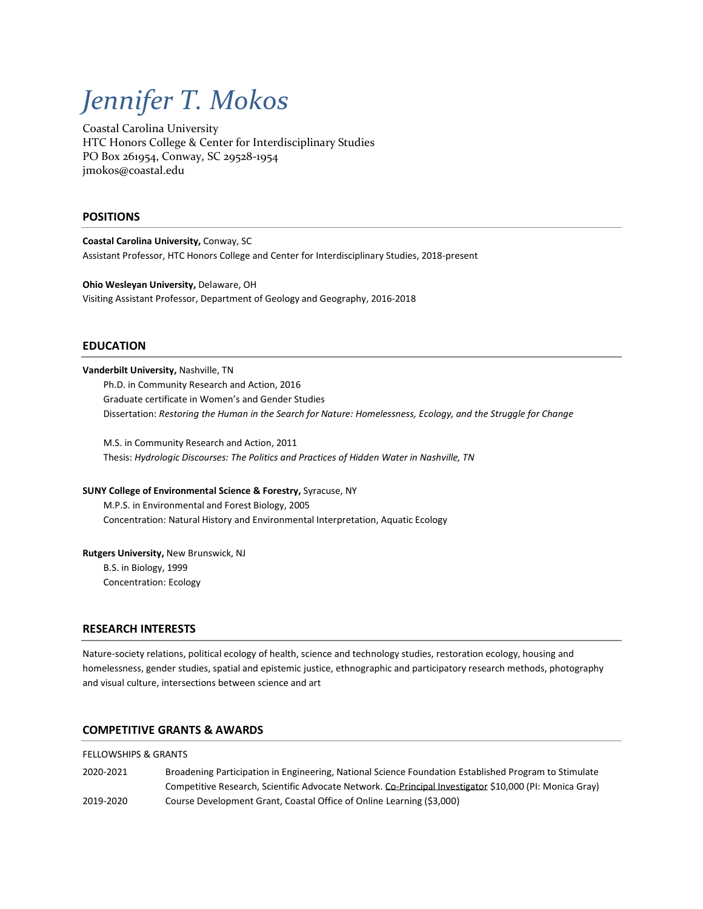# *Jennifer T. Mokos*

Coastal Carolina University HTC Honors College & Center for Interdisciplinary Studies PO Box 261954, Conway, SC 29528-1954 jmokos@coastal.edu

# **POSITIONS**

**Coastal Carolina University,** Conway, SC Assistant Professor, HTC Honors College and Center for Interdisciplinary Studies, 2018-present

**Ohio Wesleyan University,** Delaware, OH Visiting Assistant Professor, Department of Geology and Geography, 2016-2018

## **EDUCATION**

**Vanderbilt University,** Nashville, TN Ph.D. in Community Research and Action, 2016 Graduate certificate in Women's and Gender Studies Dissertation: *Restoring the Human in the Search for Nature: Homelessness, Ecology, and the Struggle for Change*

M.S. in Community Research and Action, 2011 Thesis: *Hydrologic Discourses: The Politics and Practices of Hidden Water in Nashville, TN* 

## **SUNY College of Environmental Science & Forestry,** Syracuse, NY

M.P.S. in Environmental and Forest Biology, 2005 Concentration: Natural History and Environmental Interpretation, Aquatic Ecology

#### **Rutgers University,** New Brunswick, NJ

B.S. in Biology, 1999 Concentration: Ecology

## **RESEARCH INTERESTS**

Nature-society relations, political ecology of health, science and technology studies, restoration ecology, housing and homelessness, gender studies, spatial and epistemic justice, ethnographic and participatory research methods, photography and visual culture, intersections between science and art

#### **COMPETITIVE GRANTS & AWARDS**

#### FELLOWSHIPS & GRANTS

2020-2021 Broadening Participation in Engineering, National Science Foundation Established Program to Stimulate Competitive Research, Scientific Advocate Network. Co-Principal Investigator \$10,000 (PI: Monica Gray) 2019-2020 Course Development Grant, Coastal Office of Online Learning (\$3,000)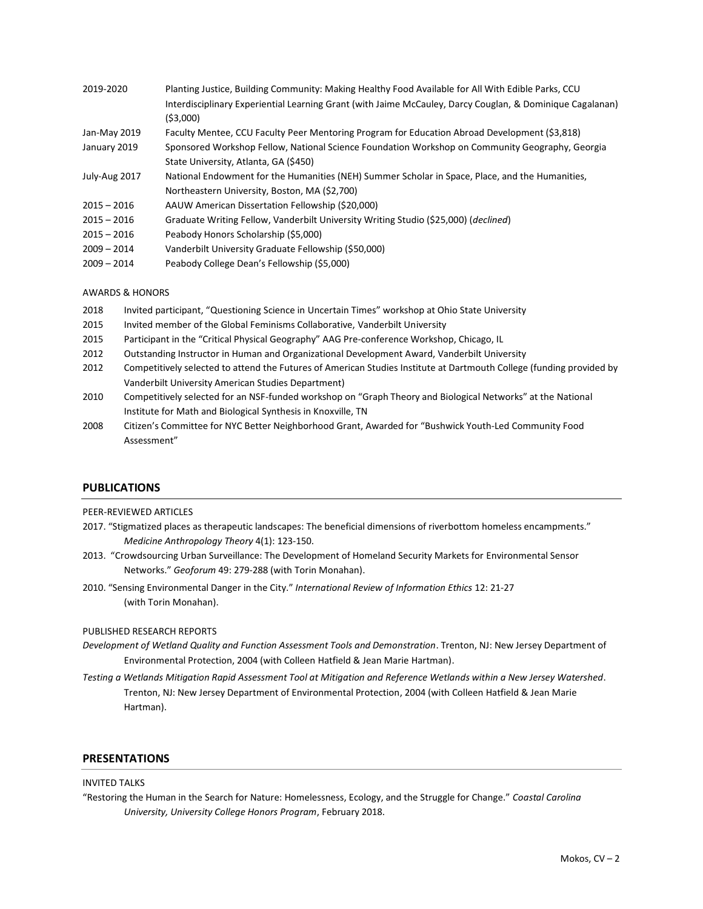| 2019-2020     | Planting Justice, Building Community: Making Healthy Food Available for All With Edible Parks, CCU        |
|---------------|-----------------------------------------------------------------------------------------------------------|
|               | Interdisciplinary Experiential Learning Grant (with Jaime McCauley, Darcy Couglan, & Dominique Cagalanan) |
|               | (53,000)                                                                                                  |
| Jan-May 2019  | Faculty Mentee, CCU Faculty Peer Mentoring Program for Education Abroad Development (\$3,818)             |
| January 2019  | Sponsored Workshop Fellow, National Science Foundation Workshop on Community Geography, Georgia           |
|               | State University, Atlanta, GA (\$450)                                                                     |
| July-Aug 2017 | National Endowment for the Humanities (NEH) Summer Scholar in Space, Place, and the Humanities,           |
|               | Northeastern University, Boston, MA (\$2,700)                                                             |
| $2015 - 2016$ | AAUW American Dissertation Fellowship (\$20,000)                                                          |
| $2015 - 2016$ | Graduate Writing Fellow, Vanderbilt University Writing Studio (\$25,000) ( <i>declined</i> )              |
| $2015 - 2016$ | Peabody Honors Scholarship (\$5,000)                                                                      |
| $2009 - 2014$ | Vanderbilt University Graduate Fellowship (\$50,000)                                                      |
| $2009 - 2014$ | Peabody College Dean's Fellowship (\$5,000)                                                               |

## AWARDS & HONORS

- 2018 Invited participant, "Questioning Science in Uncertain Times" workshop at Ohio State University
- 2015 Invited member of the Global Feminisms Collaborative, Vanderbilt University
- 2015 Participant in the "Critical Physical Geography" AAG Pre-conference Workshop, Chicago, IL
- 2012 Outstanding Instructor in Human and Organizational Development Award, Vanderbilt University
- 2012 Competitively selected to attend the Futures of American Studies Institute at Dartmouth College (funding provided by Vanderbilt University American Studies Department)
- 2010 Competitively selected for an NSF-funded workshop on "Graph Theory and Biological Networks" at the National Institute for Math and Biological Synthesis in Knoxville, TN
- 2008 Citizen's Committee for NYC Better Neighborhood Grant, Awarded for "Bushwick Youth-Led Community Food Assessment"

## **PUBLICATIONS**

#### PEER-REVIEWED ARTICLES

- 2017. "Stigmatized places as therapeutic landscapes: The beneficial dimensions of riverbottom homeless encampments." *Medicine Anthropology Theory* 4(1): 123-150.
- 2013. "Crowdsourcing Urban Surveillance: The Development of Homeland Security Markets for Environmental Sensor Networks." *Geoforum* 49: 279-288 (with Torin Monahan).
- 2010. "Sensing Environmental Danger in the City." *International Review of Information Ethics* 12: 21-27 (with Torin Monahan).

## PUBLISHED RESEARCH REPORTS

- *Development of Wetland Quality and Function Assessment Tools and Demonstration*. Trenton, NJ: New Jersey Department of Environmental Protection, 2004 (with Colleen Hatfield & Jean Marie Hartman).
- *Testing a Wetlands Mitigation Rapid Assessment Tool at Mitigation and Reference Wetlands within a New Jersey Watershed*. Trenton, NJ: New Jersey Department of Environmental Protection, 2004 (with Colleen Hatfield & Jean Marie Hartman).

## **PRESENTATIONS**

#### INVITED TALKS

"Restoring the Human in the Search for Nature: Homelessness, Ecology, and the Struggle for Change." *Coastal Carolina University, University College Honors Program*, February 2018.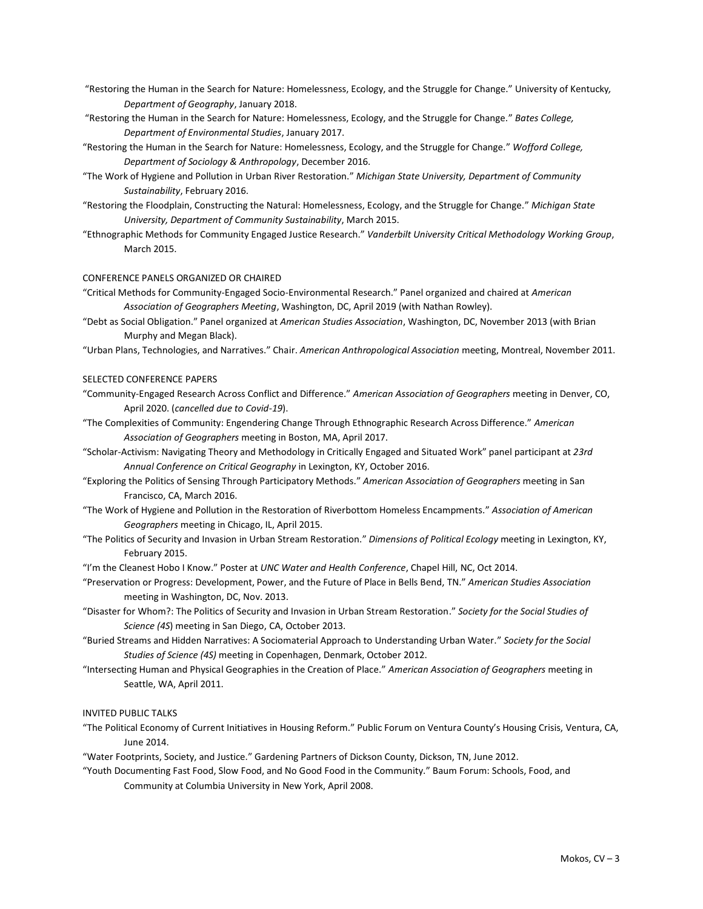- "Restoring the Human in the Search for Nature: Homelessness, Ecology, and the Struggle for Change." University of Kentucky*, Department of Geography*, January 2018.
- "Restoring the Human in the Search for Nature: Homelessness, Ecology, and the Struggle for Change." *Bates College, Department of Environmental Studies*, January 2017.
- "Restoring the Human in the Search for Nature: Homelessness, Ecology, and the Struggle for Change." *Wofford College, Department of Sociology & Anthropology*, December 2016.
- "The Work of Hygiene and Pollution in Urban River Restoration." *Michigan State University, Department of Community Sustainability*, February 2016.
- "Restoring the Floodplain, Constructing the Natural: Homelessness, Ecology, and the Struggle for Change." *Michigan State University, Department of Community Sustainability*, March 2015.
- "Ethnographic Methods for Community Engaged Justice Research." *Vanderbilt University Critical Methodology Working Group*, March 2015.

# CONFERENCE PANELS ORGANIZED OR CHAIRED

- "Critical Methods for Community-Engaged Socio-Environmental Research." Panel organized and chaired at *American Association of Geographers Meeting*, Washington, DC, April 2019 (with Nathan Rowley).
- "Debt as Social Obligation." Panel organized at *American Studies Association*, Washington, DC, November 2013 (with Brian Murphy and Megan Black).
- "Urban Plans, Technologies, and Narratives." Chair. *American Anthropological Association* meeting, Montreal, November 2011.

#### SELECTED CONFERENCE PAPERS

- "Community-Engaged Research Across Conflict and Difference." *American Association of Geographers* meeting in Denver, CO, April 2020. (*cancelled due to Covid-19*).
- "The Complexities of Community: Engendering Change Through Ethnographic Research Across Difference." *American Association of Geographers* meeting in Boston, MA, April 2017.
- "Scholar-Activism: Navigating Theory and Methodology in Critically Engaged and Situated Work" panel participant at *23rd Annual Conference on Critical Geography* in Lexington, KY, October 2016.
- "Exploring the Politics of Sensing Through Participatory Methods." *American Association of Geographers* meeting in San Francisco, CA, March 2016.
- "The Work of Hygiene and Pollution in the Restoration of Riverbottom Homeless Encampments." *Association of American Geographers* meeting in Chicago, IL, April 2015.
- "The Politics of Security and Invasion in Urban Stream Restoration." *Dimensions of Political Ecology* meeting in Lexington, KY, February 2015.
- "I'm the Cleanest Hobo I Know." Poster at *UNC Water and Health Conference*, Chapel Hill, NC, Oct 2014.
- "Preservation or Progress: Development, Power, and the Future of Place in Bells Bend, TN." *American Studies Association* meeting in Washington, DC, Nov. 2013.
- "Disaster for Whom?: The Politics of Security and Invasion in Urban Stream Restoration." *Society for the Social Studies of Science (4S*) meeting in San Diego, CA, October 2013.
- "Buried Streams and Hidden Narratives: A Sociomaterial Approach to Understanding Urban Water." *Society for the Social Studies of Science (4S)* meeting in Copenhagen, Denmark, October 2012.
- "Intersecting Human and Physical Geographies in the Creation of Place." *American Association of Geographers* meeting in Seattle, WA, April 2011.

#### INVITED PUBLIC TALKS

- "The Political Economy of Current Initiatives in Housing Reform." Public Forum on Ventura County's Housing Crisis, Ventura, CA, June 2014.
- "Water Footprints, Society, and Justice." Gardening Partners of Dickson County, Dickson, TN, June 2012.
- "Youth Documenting Fast Food, Slow Food, and No Good Food in the Community." Baum Forum: Schools, Food, and Community at Columbia University in New York, April 2008.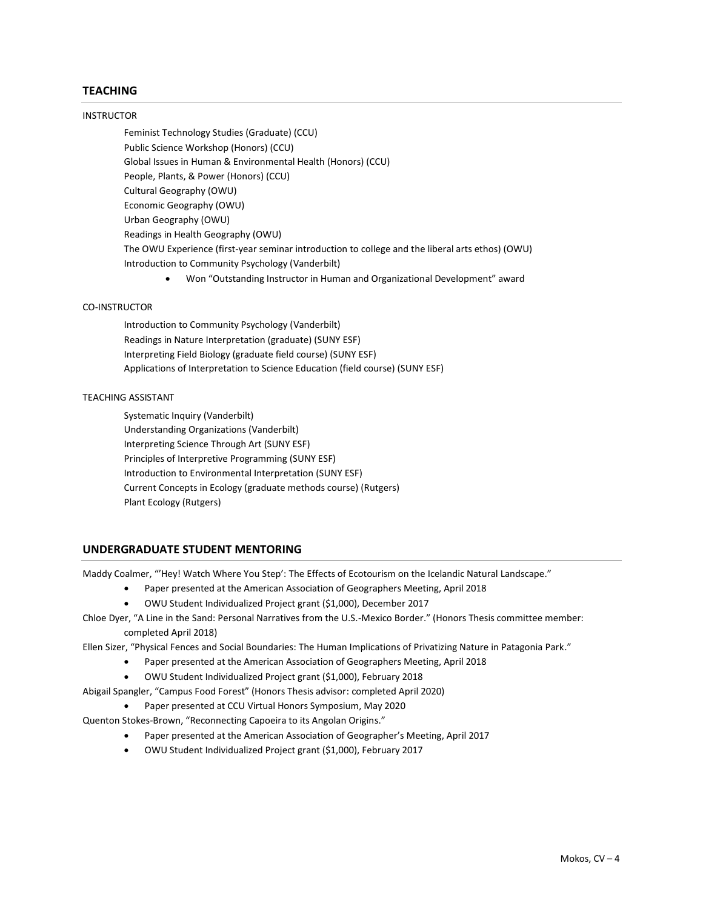# **TEACHING**

#### INSTRUCTOR

Feminist Technology Studies (Graduate) (CCU) Public Science Workshop (Honors) (CCU) Global Issues in Human & Environmental Health (Honors) (CCU) People, Plants, & Power (Honors) (CCU) Cultural Geography (OWU) Economic Geography (OWU) Urban Geography (OWU) Readings in Health Geography (OWU) The OWU Experience (first-year seminar introduction to college and the liberal arts ethos) (OWU) Introduction to Community Psychology (Vanderbilt)

• Won "Outstanding Instructor in Human and Organizational Development" award

## CO-INSTRUCTOR

Introduction to Community Psychology (Vanderbilt) Readings in Nature Interpretation (graduate) (SUNY ESF) Interpreting Field Biology (graduate field course) (SUNY ESF) Applications of Interpretation to Science Education (field course) (SUNY ESF)

# TEACHING ASSISTANT

Systematic Inquiry (Vanderbilt) Understanding Organizations (Vanderbilt) Interpreting Science Through Art (SUNY ESF) Principles of Interpretive Programming (SUNY ESF) Introduction to Environmental Interpretation (SUNY ESF) Current Concepts in Ecology (graduate methods course) (Rutgers) Plant Ecology (Rutgers)

## **UNDERGRADUATE STUDENT MENTORING**

Maddy Coalmer, "'Hey! Watch Where You Step': The Effects of Ecotourism on the Icelandic Natural Landscape."

- Paper presented at the American Association of Geographers Meeting, April 2018
- OWU Student Individualized Project grant (\$1,000), December 2017

# Chloe Dyer, "A Line in the Sand: Personal Narratives from the U.S.-Mexico Border." (Honors Thesis committee member: completed April 2018)

- Ellen Sizer, "Physical Fences and Social Boundaries: The Human Implications of Privatizing Nature in Patagonia Park."
	- Paper presented at the American Association of Geographers Meeting, April 2018
	- OWU Student Individualized Project grant (\$1,000), February 2018
- Abigail Spangler, "Campus Food Forest" (Honors Thesis advisor: completed April 2020)
	- Paper presented at CCU Virtual Honors Symposium, May 2020

Quenton Stokes-Brown, "Reconnecting Capoeira to its Angolan Origins."

- Paper presented at the American Association of Geographer's Meeting, April 2017
- OWU Student Individualized Project grant (\$1,000), February 2017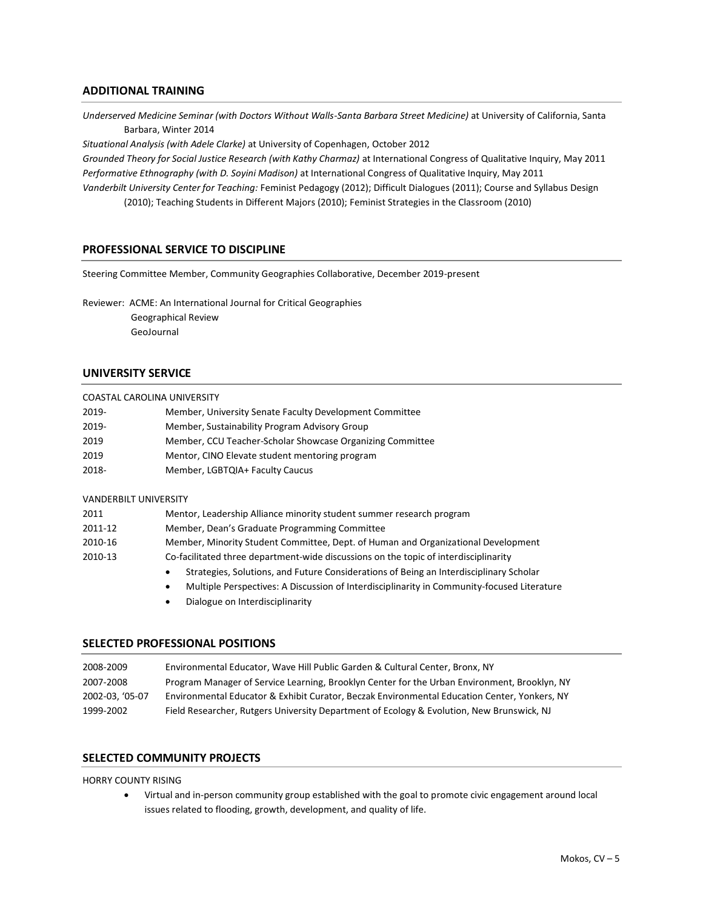# **ADDITIONAL TRAINING**

*Underserved Medicine Seminar (with Doctors Without Walls-Santa Barbara Street Medicine)* at University of California, Santa Barbara, Winter 2014

*Situational Analysis (with Adele Clarke)* at University of Copenhagen, October 2012 *Grounded Theory for Social Justice Research (with Kathy Charmaz)* at International Congress of Qualitative Inquiry, May 2011 *Performative Ethnography (with D. Soyini Madison)* at International Congress of Qualitative Inquiry, May 2011 *Vanderbilt University Center for Teaching:* Feminist Pedagogy (2012); Difficult Dialogues (2011); Course and Syllabus Design

(2010); Teaching Students in Different Majors (2010); Feminist Strategies in the Classroom (2010)

# **PROFESSIONAL SERVICE TO DISCIPLINE**

Steering Committee Member, Community Geographies Collaborative, December 2019-present

Reviewer: ACME: An International Journal for Critical Geographies Geographical Review GeoJournal

# **UNIVERSITY SERVICE**

|  |  | COASTAL CAROLINA UNIVERSITY |
|--|--|-----------------------------|
|--|--|-----------------------------|

| 2019- | Member, University Senate Faculty Development Committee   |
|-------|-----------------------------------------------------------|
| 2019- | Member, Sustainability Program Advisory Group             |
| 2019  | Member, CCU Teacher-Scholar Showcase Organizing Committee |
| 2019  | Mentor, CINO Elevate student mentoring program            |
| 2018- | Member, LGBTQIA+ Faculty Caucus                           |

#### VANDERBILT UNIVERSITY

| 2011    | Mentor, Leadership Alliance minority student summer research program                   |
|---------|----------------------------------------------------------------------------------------|
| 2011-12 | Member, Dean's Graduate Programming Committee                                          |
| 2010-16 | Member, Minority Student Committee, Dept. of Human and Organizational Development      |
| 2010-13 | Co-facilitated three department-wide discussions on the topic of interdisciplinarity   |
|         | Strategies, Solutions, and Future Considerations of Being an Interdisciplinary Scholar |

- Multiple Perspectives: A Discussion of Interdisciplinarity in Community-focused Literature
- Dialogue on Interdisciplinarity

# **SELECTED PROFESSIONAL POSITIONS**

| 2008-2009       | Environmental Educator, Wave Hill Public Garden & Cultural Center, Bronx, NY                 |
|-----------------|----------------------------------------------------------------------------------------------|
| 2007-2008       | Program Manager of Service Learning, Brooklyn Center for the Urban Environment, Brooklyn, NY |
| 2002-03. '05-07 | Environmental Educator & Exhibit Curator, Beczak Environmental Education Center, Yonkers, NY |
| 1999-2002       | Field Researcher, Rutgers University Department of Ecology & Evolution, New Brunswick, NJ    |

# **SELECTED COMMUNITY PROJECTS**

#### HORRY COUNTY RISING

• Virtual and in-person community group established with the goal to promote civic engagement around local issues related to flooding, growth, development, and quality of life.